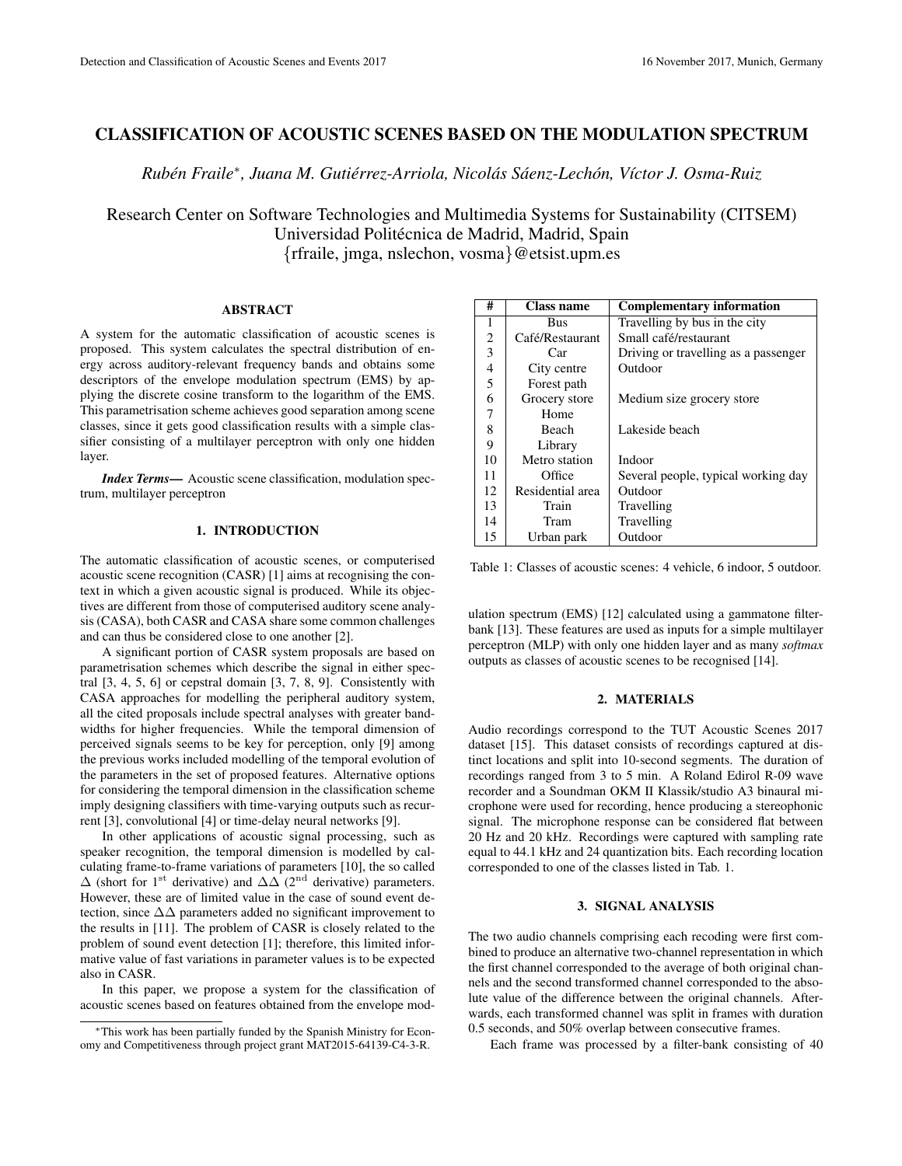# CLASSIFICATION OF ACOUSTIC SCENES BASED ON THE MODULATION SPECTRUM

*Ruben Fraile ´* ∗ *, Juana M. Gutierrez-Arriola, Nicol ´ as S ´ aenz-Lech ´ on, V ´ ´ıctor J. Osma-Ruiz*

Research Center on Software Technologies and Multimedia Systems for Sustainability (CITSEM) Universidad Politécnica de Madrid, Madrid, Spain {rfraile, jmga, nslechon, vosma}@etsist.upm.es

#### ABSTRACT

A system for the automatic classification of acoustic scenes is proposed. This system calculates the spectral distribution of energy across auditory-relevant frequency bands and obtains some descriptors of the envelope modulation spectrum (EMS) by applying the discrete cosine transform to the logarithm of the EMS. This parametrisation scheme achieves good separation among scene classes, since it gets good classification results with a simple classifier consisting of a multilayer perceptron with only one hidden layer.

*Index Terms*— Acoustic scene classification, modulation spectrum, multilayer perceptron

### 1. INTRODUCTION

The automatic classification of acoustic scenes, or computerised acoustic scene recognition (CASR) [1] aims at recognising the context in which a given acoustic signal is produced. While its objectives are different from those of computerised auditory scene analysis (CASA), both CASR and CASA share some common challenges and can thus be considered close to one another [2].

A significant portion of CASR system proposals are based on parametrisation schemes which describe the signal in either spectral [3, 4, 5, 6] or cepstral domain [3, 7, 8, 9]. Consistently with CASA approaches for modelling the peripheral auditory system, all the cited proposals include spectral analyses with greater bandwidths for higher frequencies. While the temporal dimension of perceived signals seems to be key for perception, only [9] among the previous works included modelling of the temporal evolution of the parameters in the set of proposed features. Alternative options for considering the temporal dimension in the classification scheme imply designing classifiers with time-varying outputs such as recurrent [3], convolutional [4] or time-delay neural networks [9].

In other applications of acoustic signal processing, such as speaker recognition, the temporal dimension is modelled by calculating frame-to-frame variations of parameters [10], the so called  $\Delta$  (short for 1<sup>st</sup> derivative) and  $\Delta\Delta$  (2<sup>nd</sup> derivative) parameters. However, these are of limited value in the case of sound event detection, since ∆∆ parameters added no significant improvement to the results in [11]. The problem of CASR is closely related to the problem of sound event detection [1]; therefore, this limited informative value of fast variations in parameter values is to be expected also in CASR.

In this paper, we propose a system for the classification of acoustic scenes based on features obtained from the envelope mod-

| #              | <b>Class name</b> | <b>Complementary information</b>     |  |  |  |  |
|----------------|-------------------|--------------------------------------|--|--|--|--|
| 1              | Bus               | Travelling by bus in the city        |  |  |  |  |
| $\overline{2}$ | Café/Restaurant   | Small café/restaurant                |  |  |  |  |
| 3              | Car               | Driving or travelling as a passenger |  |  |  |  |
| $\overline{4}$ | City centre       | Outdoor                              |  |  |  |  |
| 5              | Forest path       |                                      |  |  |  |  |
| 6              | Grocery store     | Medium size grocery store            |  |  |  |  |
| 7              | Home              |                                      |  |  |  |  |
| 8              | Beach             | Lakeside beach                       |  |  |  |  |
| 9              | Library           |                                      |  |  |  |  |
| 10             | Metro station     | Indoor                               |  |  |  |  |
| 11             | Office            | Several people, typical working day  |  |  |  |  |
| 12             | Residential area  | Outdoor                              |  |  |  |  |
| 13             | Train             | Travelling                           |  |  |  |  |
| 14             | Tram              | Travelling                           |  |  |  |  |
| 15             | Urban park        | Outdoor                              |  |  |  |  |

Table 1: Classes of acoustic scenes: 4 vehicle, 6 indoor, 5 outdoor.

ulation spectrum (EMS) [12] calculated using a gammatone filterbank [13]. These features are used as inputs for a simple multilayer perceptron (MLP) with only one hidden layer and as many *softmax* outputs as classes of acoustic scenes to be recognised [14].

#### 2. MATERIALS

Audio recordings correspond to the TUT Acoustic Scenes 2017 dataset [15]. This dataset consists of recordings captured at distinct locations and split into 10-second segments. The duration of recordings ranged from 3 to 5 min. A Roland Edirol R-09 wave recorder and a Soundman OKM II Klassik/studio A3 binaural microphone were used for recording, hence producing a stereophonic signal. The microphone response can be considered flat between 20 Hz and 20 kHz. Recordings were captured with sampling rate equal to 44.1 kHz and 24 quantization bits. Each recording location corresponded to one of the classes listed in Tab. 1.

# 3. SIGNAL ANALYSIS

The two audio channels comprising each recoding were first combined to produce an alternative two-channel representation in which the first channel corresponded to the average of both original channels and the second transformed channel corresponded to the absolute value of the difference between the original channels. Afterwards, each transformed channel was split in frames with duration 0.5 seconds, and 50% overlap between consecutive frames.

Each frame was processed by a filter-bank consisting of 40

<sup>∗</sup>This work has been partially funded by the Spanish Ministry for Economy and Competitiveness through project grant MAT2015-64139-C4-3-R.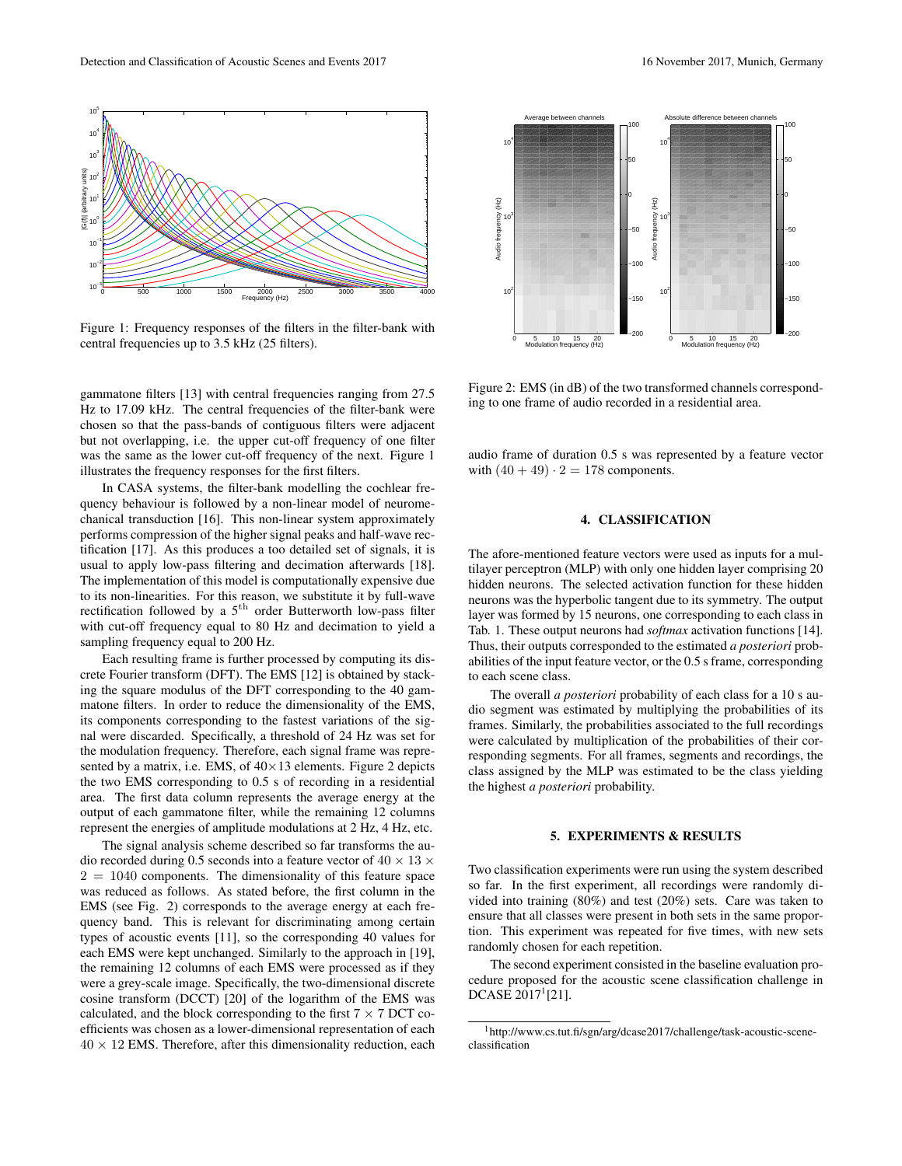

Figure 1: Frequency responses of the filters in the filter-bank with central frequencies up to 3.5 kHz (25 filters).

gammatone filters [13] with central frequencies ranging from 27.5 Hz to 17.09 kHz. The central frequencies of the filter-bank were chosen so that the pass-bands of contiguous filters were adjacent but not overlapping, i.e. the upper cut-off frequency of one filter was the same as the lower cut-off frequency of the next. Figure 1 illustrates the frequency responses for the first filters.

In CASA systems, the filter-bank modelling the cochlear frequency behaviour is followed by a non-linear model of neuromechanical transduction [16]. This non-linear system approximately performs compression of the higher signal peaks and half-wave rectification [17]. As this produces a too detailed set of signals, it is usual to apply low-pass filtering and decimation afterwards [18]. The implementation of this model is computationally expensive due to its non-linearities. For this reason, we substitute it by full-wave rectification followed by a  $5<sup>th</sup>$  order Butterworth low-pass filter with cut-off frequency equal to 80 Hz and decimation to yield a sampling frequency equal to 200 Hz.

Each resulting frame is further processed by computing its discrete Fourier transform (DFT). The EMS [12] is obtained by stacking the square modulus of the DFT corresponding to the 40 gammatone filters. In order to reduce the dimensionality of the EMS, its components corresponding to the fastest variations of the signal were discarded. Specifically, a threshold of 24 Hz was set for the modulation frequency. Therefore, each signal frame was represented by a matrix, i.e. EMS, of  $40 \times 13$  elements. Figure 2 depicts the two EMS corresponding to 0.5 s of recording in a residential area. The first data column represents the average energy at the output of each gammatone filter, while the remaining 12 columns represent the energies of amplitude modulations at 2 Hz, 4 Hz, etc.

The signal analysis scheme described so far transforms the audio recorded during 0.5 seconds into a feature vector of  $40 \times 13 \times$  $2 = 1040$  components. The dimensionality of this feature space was reduced as follows. As stated before, the first column in the EMS (see Fig. 2) corresponds to the average energy at each frequency band. This is relevant for discriminating among certain types of acoustic events [11], so the corresponding 40 values for each EMS were kept unchanged. Similarly to the approach in [19], the remaining 12 columns of each EMS were processed as if they were a grey-scale image. Specifically, the two-dimensional discrete cosine transform (DCCT) [20] of the logarithm of the EMS was calculated, and the block corresponding to the first  $7 \times 7$  DCT coefficients was chosen as a lower-dimensional representation of each  $40 \times 12$  EMS. Therefore, after this dimensionality reduction, each



Figure 2: EMS (in dB) of the two transformed channels corresponding to one frame of audio recorded in a residential area.

Modulation frequency (Hz)

audio frame of duration 0.5 s was represented by a feature vector with  $(40 + 49) \cdot 2 = 178$  components.

# 4. CLASSIFICATION

The afore-mentioned feature vectors were used as inputs for a multilayer perceptron (MLP) with only one hidden layer comprising 20 hidden neurons. The selected activation function for these hidden neurons was the hyperbolic tangent due to its symmetry. The output layer was formed by 15 neurons, one corresponding to each class in Tab. 1. These output neurons had *softmax* activation functions [14]. Thus, their outputs corresponded to the estimated *a posteriori* probabilities of the input feature vector, or the 0.5 s frame, corresponding to each scene class.

The overall *a posteriori* probability of each class for a 10 s audio segment was estimated by multiplying the probabilities of its frames. Similarly, the probabilities associated to the full recordings were calculated by multiplication of the probabilities of their corresponding segments. For all frames, segments and recordings, the class assigned by the MLP was estimated to be the class yielding the highest *a posteriori* probability.

### 5. EXPERIMENTS & RESULTS

Two classification experiments were run using the system described so far. In the first experiment, all recordings were randomly divided into training (80%) and test (20%) sets. Care was taken to ensure that all classes were present in both sets in the same proportion. This experiment was repeated for five times, with new sets randomly chosen for each repetition.

The second experiment consisted in the baseline evaluation procedure proposed for the acoustic scene classification challenge in  $DCASE 2017^1[21]$ .

Modulation frequency (Hz)

<sup>&</sup>lt;sup>1</sup>http://www.cs.tut.fi/sgn/arg/dcase2017/challenge/task-acoustic-sceneclassification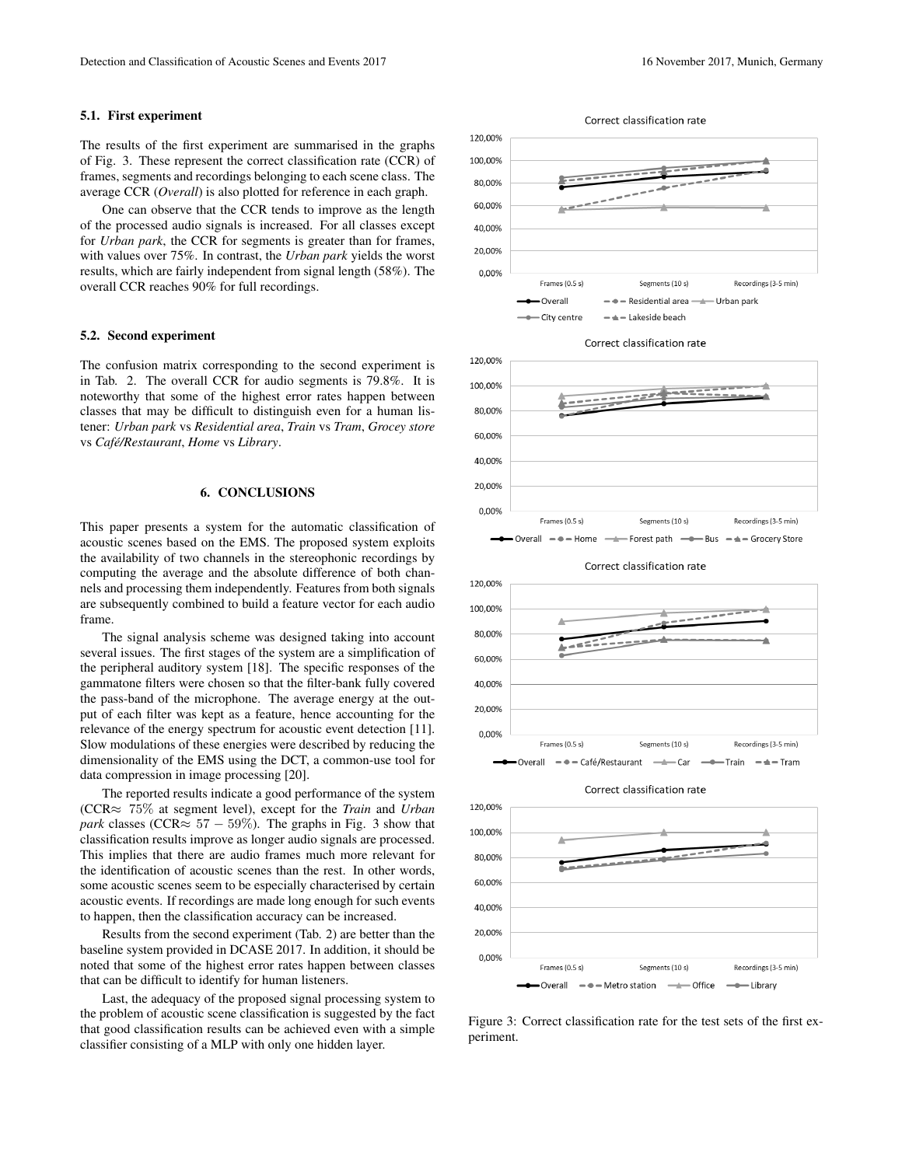### 5.1. First experiment

The results of the first experiment are summarised in the graphs of Fig. 3. These represent the correct classification rate (CCR) of frames, segments and recordings belonging to each scene class. The average CCR (*Overall*) is also plotted for reference in each graph.

One can observe that the CCR tends to improve as the length of the processed audio signals is increased. For all classes except for *Urban park*, the CCR for segments is greater than for frames, with values over 75%. In contrast, the *Urban park* yields the worst results, which are fairly independent from signal length (58%). The overall CCR reaches 90% for full recordings.

#### 5.2. Second experiment

The confusion matrix corresponding to the second experiment is in Tab. 2. The overall CCR for audio segments is 79.8%. It is noteworthy that some of the highest error rates happen between classes that may be difficult to distinguish even for a human listener: *Urban park* vs *Residential area*, *Train* vs *Tram*, *Grocey store* vs *Cafe/Restaurant ´* , *Home* vs *Library*.

# 6. CONCLUSIONS

This paper presents a system for the automatic classification of acoustic scenes based on the EMS. The proposed system exploits the availability of two channels in the stereophonic recordings by computing the average and the absolute difference of both channels and processing them independently. Features from both signals are subsequently combined to build a feature vector for each audio frame.

The signal analysis scheme was designed taking into account several issues. The first stages of the system are a simplification of the peripheral auditory system [18]. The specific responses of the gammatone filters were chosen so that the filter-bank fully covered the pass-band of the microphone. The average energy at the output of each filter was kept as a feature, hence accounting for the relevance of the energy spectrum for acoustic event detection [11]. Slow modulations of these energies were described by reducing the dimensionality of the EMS using the DCT, a common-use tool for data compression in image processing [20].

The reported results indicate a good performance of the system (CCR≈ 75% at segment level), except for the *Train* and *Urban park* classes (CCR $\approx$  57 – 59%). The graphs in Fig. 3 show that classification results improve as longer audio signals are processed. This implies that there are audio frames much more relevant for the identification of acoustic scenes than the rest. In other words, some acoustic scenes seem to be especially characterised by certain acoustic events. If recordings are made long enough for such events to happen, then the classification accuracy can be increased.

Results from the second experiment (Tab. 2) are better than the baseline system provided in DCASE 2017. In addition, it should be noted that some of the highest error rates happen between classes that can be difficult to identify for human listeners.

Last, the adequacy of the proposed signal processing system to the problem of acoustic scene classification is suggested by the fact that good classification results can be achieved even with a simple classifier consisting of a MLP with only one hidden layer.



Correct classification rate





Correct classification rate



Correct classification rate



Figure 3: Correct classification rate for the test sets of the first experiment.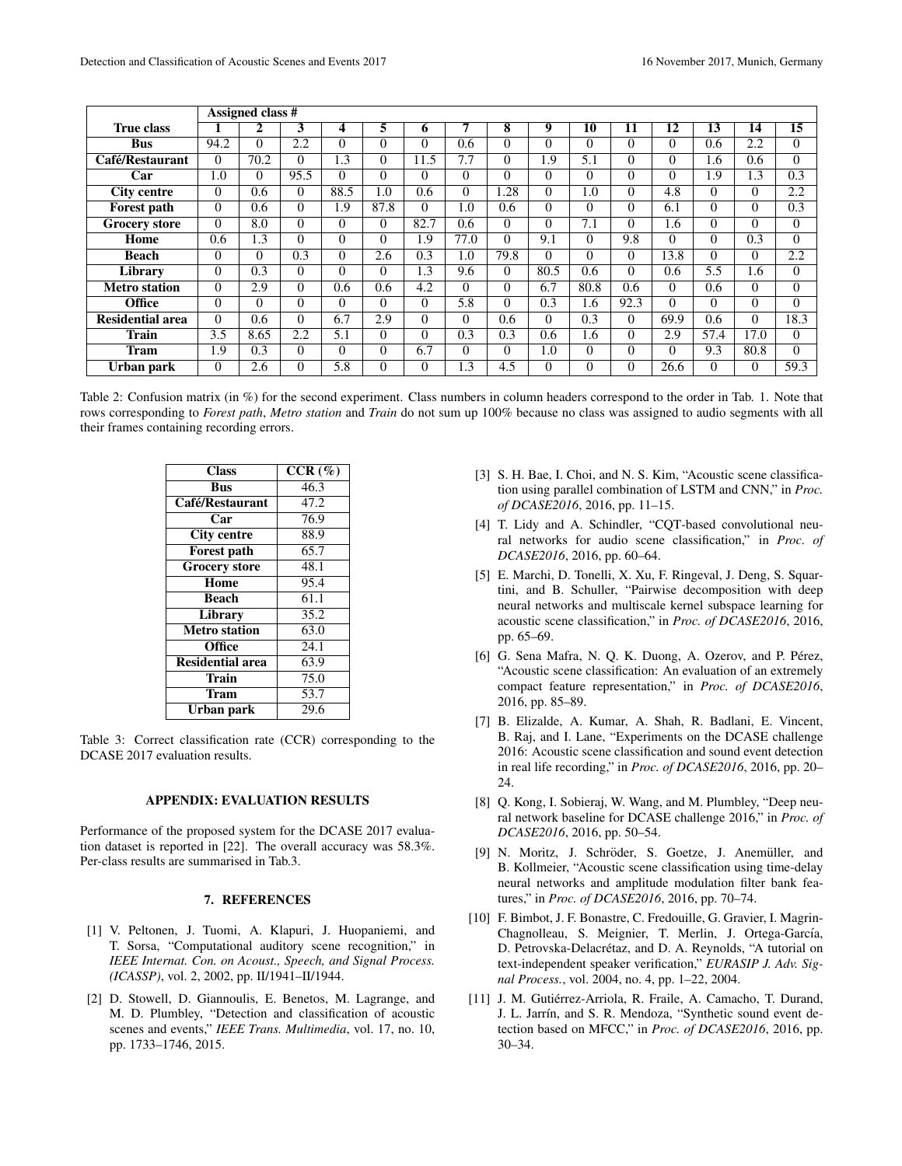|                         | Assigned class # |          |          |          |          |          |               |          |          |          |          |          |          |                 |                   |
|-------------------------|------------------|----------|----------|----------|----------|----------|---------------|----------|----------|----------|----------|----------|----------|-----------------|-------------------|
| <b>True class</b>       |                  | 2        | 3        | 4        | 5        | 6        |               | 8        | 9        | 10       | 11       | 12       | 13       | $1\overline{4}$ | 15                |
| <b>Bus</b>              | 94.2             | $\Omega$ | 2.2      | $\Omega$ | $\theta$ | $\Omega$ | $0.6^{\circ}$ | 0        | $\Omega$ | $\Omega$ | $\theta$ | 0        | 0.6      | 2.2             | $\Omega$          |
| Café/Restaurant         | $\Omega$         | 70.2     | $\theta$ | 1.3      | $\theta$ | 11.5     | 7.7           | $\Omega$ | 1.9      | 5.1      | $\Omega$ | $\Omega$ | 1.6      | 0.6             | $\theta$          |
| Car                     | 1.0              | $\Omega$ | 95.5     | $\Omega$ | $\Omega$ | $\Omega$ | $\Omega$      | $\Omega$ | $\theta$ | $\Omega$ | $\Omega$ | 0        | 1.9      | 1.3             | 0.3               |
| <b>City centre</b>      | $\Omega$         | 0.6      | $\Omega$ | 88.5     | 1.0      | 0.6      | $\Omega$      | 1.28     | $\Omega$ | 1.0      | $\Omega$ | 4.8      | $\Omega$ | $\Omega$        | 2.2               |
| <b>Forest path</b>      | $\Omega$         | 0.6      | $\Omega$ | 1.9      | 87.8     | $\Omega$ | 1.0           | 0.6      | $\Omega$ | $\Omega$ | $\Omega$ | 6.1      | $\Omega$ | $\Omega$        | 0.3               |
| <b>Grocery store</b>    | $\Omega$         | 8.0      | 0        | $\Omega$ | $\Omega$ | 82.7     | 0.6           | 0        | $\Omega$ | 7.1      | $\theta$ | 1.6      | 0        | $\Omega$        | $\Omega$          |
| Home                    | 0.6              | 1.3      | 0        | $\Omega$ | $\Omega$ | 1.9      | 77.0          | $\Omega$ | 9.1      | $\Omega$ | 9.8      | $\Omega$ | $\Omega$ | 0.3             | $\Omega$          |
| <b>Beach</b>            | $\Omega$         | $\Omega$ | 0.3      | $\Omega$ | 2.6      | 0.3      | 1.0           | 79.8     | $\Omega$ | $\Omega$ | $\Omega$ | 13.8     | $\Omega$ | $\Omega$        | 2.2               |
| Library                 | $\Omega$         | 0.3      | 0        | $\Omega$ | $\Omega$ | 1.3      | 9.6           | 0        | 80.5     | 0.6      | $\Omega$ | 0.6      | 5.5      | 1.6             | $\Omega$          |
| <b>Metro</b> station    | $\Omega$         | 2.9      | 0        | 0.6      | 0.6      | 4.2      | $\Omega$      | 0        | 6.7      | 80.8     | 0.6      | $\Omega$ | 0.6      | $\Omega$        | $\theta$          |
| <b>Office</b>           | $\Omega$         | $\Omega$ | 0        | $\Omega$ | $\Omega$ | $\Omega$ | 5.8           | $\Omega$ | 0.3      | 1.6      | 92.3     | $\Omega$ | $\Omega$ | $\Omega$        | $\Omega$          |
| <b>Residential area</b> | $\Omega$         | 0.6      | 0        | 6.7      | 2.9      | $\Omega$ | $\Omega$      | 0.6      | $\Omega$ | 0.3      | $\Omega$ | 69.9     | 0.6      | $\Omega$        | 18.3              |
| <b>Train</b>            | 3.5              | 8.65     | 2.2      | 5.1      | $\Omega$ | $\Omega$ | 0.3           | 0.3      | 0.6      | 1.6      | $\theta$ | 2.9      | 57.4     | 17.0            | $\Omega$          |
| <b>Tram</b>             | 1.9              | 0.3      | 0        | $\Omega$ | $\Omega$ | 6.7      | $\Omega$      | 0        | 1.0      | $\theta$ | $\theta$ | 0        | 9.3      | 80.8            | $\theta$          |
| Urban park              | $\Omega$         | 2.6      | 0        | 5.8      | $\theta$ | $\Omega$ | 1.3           | 4.5      | $\Omega$ | $\Omega$ | $\Omega$ | 26.6     | $\Omega$ | $\Omega$        | $\overline{59.3}$ |

Table 2: Confusion matrix (in %) for the second experiment. Class numbers in column headers correspond to the order in Tab. 1. Note that rows corresponding to *Forest path*, *Metro station* and *Train* do not sum up 100% because no class was assigned to audio segments with all their frames containing recording errors.

| <b>Class</b>            | $\overline{CCR}$ (%) |
|-------------------------|----------------------|
| <b>Bus</b>              | 46.3                 |
| Café/Restaurant         | $\overline{47.2}$    |
| Car                     | 76.9                 |
| <b>City centre</b>      | 88.9                 |
| <b>Forest path</b>      | 65.7                 |
| <b>Grocery store</b>    | 48.1                 |
| Home                    | 95.4                 |
| <b>Beach</b>            | 61.1                 |
| Library                 | 35.2                 |
| <b>Metro station</b>    | 63.0                 |
| Office                  | 24.1                 |
| <b>Residential area</b> | 63.9                 |
| <b>Train</b>            | 75.0                 |
| Tram                    | 53.7                 |
| Urban park              | 29.6                 |

Table 3: Correct classification rate (CCR) corresponding to the DCASE 2017 evaluation results.

### APPENDIX: EVALUATION RESULTS

Performance of the proposed system for the DCASE 2017 evaluation dataset is reported in [22]. The overall accuracy was 58.3%. Per-class results are summarised in Tab.3.

## 7. REFERENCES

- [1] V. Peltonen, J. Tuomi, A. Klapuri, J. Huopaniemi, and T. Sorsa, "Computational auditory scene recognition," in *IEEE Internat. Con. on Acoust., Speech, and Signal Process. (ICASSP)*, vol. 2, 2002, pp. II/1941–II/1944.
- [2] D. Stowell, D. Giannoulis, E. Benetos, M. Lagrange, and M. D. Plumbley, "Detection and classification of acoustic scenes and events," *IEEE Trans. Multimedia*, vol. 17, no. 10, pp. 1733–1746, 2015.
- [3] S. H. Bae, I. Choi, and N. S. Kim, "Acoustic scene classification using parallel combination of LSTM and CNN," in *Proc. of DCASE2016*, 2016, pp. 11–15.
- [4] T. Lidy and A. Schindler, "CQT-based convolutional neural networks for audio scene classification," in *Proc. of DCASE2016*, 2016, pp. 60–64.
- [5] E. Marchi, D. Tonelli, X. Xu, F. Ringeval, J. Deng, S. Squartini, and B. Schuller, "Pairwise decomposition with deep neural networks and multiscale kernel subspace learning for acoustic scene classification," in *Proc. of DCASE2016*, 2016, pp. 65–69.
- [6] G. Sena Mafra, N. Q. K. Duong, A. Ozerov, and P. Pérez, "Acoustic scene classification: An evaluation of an extremely compact feature representation," in *Proc. of DCASE2016*, 2016, pp. 85–89.
- [7] B. Elizalde, A. Kumar, A. Shah, R. Badlani, E. Vincent, B. Raj, and I. Lane, "Experiments on the DCASE challenge 2016: Acoustic scene classification and sound event detection in real life recording," in *Proc. of DCASE2016*, 2016, pp. 20– 24.
- [8] Q. Kong, I. Sobieraj, W. Wang, and M. Plumbley, "Deep neural network baseline for DCASE challenge 2016," in *Proc. of DCASE2016*, 2016, pp. 50–54.
- [9] N. Moritz, J. Schröder, S. Goetze, J. Anemüller, and B. Kollmeier, "Acoustic scene classification using time-delay neural networks and amplitude modulation filter bank features," in *Proc. of DCASE2016*, 2016, pp. 70–74.
- [10] F. Bimbot, J. F. Bonastre, C. Fredouille, G. Gravier, I. Magrin-Chagnolleau, S. Meignier, T. Merlin, J. Ortega-García, D. Petrovska-Delacrétaz, and D. A. Reynolds, "A tutorial on text-independent speaker verification," *EURASIP J. Adv. Signal Process.*, vol. 2004, no. 4, pp. 1–22, 2004.
- [11] J. M. Gutiérrez-Arriola, R. Fraile, A. Camacho, T. Durand, J. L. Jarrín, and S. R. Mendoza, "Synthetic sound event detection based on MFCC," in *Proc. of DCASE2016*, 2016, pp. 30–34.